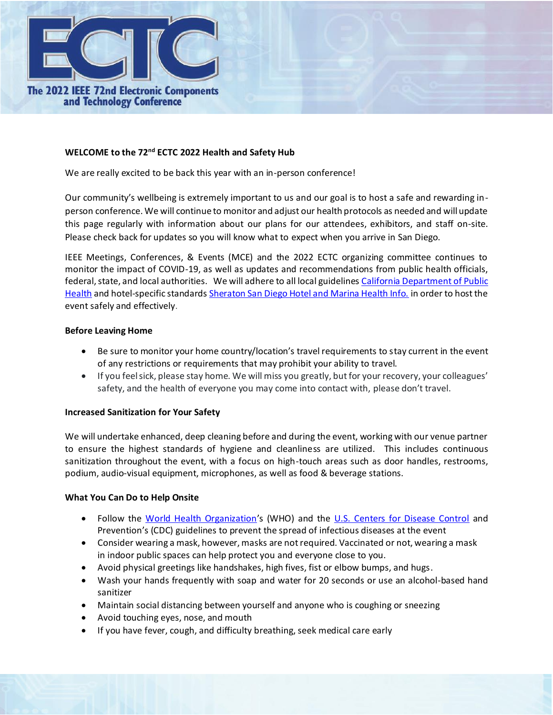

### **WELCOME to the 72nd ECTC 2022 Health and Safety Hub**

We are really excited to be back this year with an in-person conference!

Our community's wellbeing is extremely important to us and our goal is to host a safe and rewarding inperson conference. We will continue to monitor and adjust our health protocols as needed and will update this page regularly with information about our plans for our attendees, exhibitors, and staff on-site. Please check back for updates so you will know what to expect when you arrive in San Diego.

IEEE Meetings, Conferences, & Events (MCE) and the 2022 ECTC organizing committee continues to monitor the impact of COVID-19, as well as updates and recommendations from public health officials, federal, state, and local authorities. We will adhere to all local guidelines California Department of Public [Health](https://www.cdph.ca.gov/Programs/CID/DCDC/Pages/COVID-19/Beyond-Blueprint-Framework.aspx) and hotel-specific standards [Sheraton San Diego Hotel and Marina Health Info.](https://whattoexpect.marriott.com/sansi) in order to host the event safely and effectively.

### **Before Leaving Home**

- Be sure to monitor your home country/location's travel requirements to stay current in the event of any restrictions or requirements that may prohibit your ability to travel.
- If you feel sick, please stay home. We will miss you greatly, but for your recovery, your colleagues' safety, and the health of everyone you may come into contact with, please don't travel.

### **Increased Sanitization for Your Safety**

We will undertake enhanced, deep cleaning before and during the event, working with our venue partner to ensure the highest standards of hygiene and cleanliness are utilized. This includes continuous sanitization throughout the event, with a focus on high-touch areas such as door handles, restrooms, podium, audio-visual equipment, microphones, as well as food & beverage stations.

### **What You Can Do to Help Onsite**

- Follow the [World Health Organization](https://www.who.int/travel-advice)'s (WHO) and the [U.S. Centers for Disease Control](https://www.cdc.gov/coronavirus/2019-ncov/community/large-events/considerations-for-events-gatherings.html?CDC_AA_refVal=https%3A%2F%2Fwww.cdc.gov%2Fcoronavirus%2F2019-ncov%2Fcommunity%2Flarge-events%2Fmass-gatherings-ready-for-covid-19.html) and Prevention's (CDC) guidelines to prevent the spread of infectious diseases at the event
- Consider wearing a mask, however, masks are not required. Vaccinated or not, wearing a mask in indoor public spaces can help protect you and everyone close to you.
- Avoid physical greetings like handshakes, high fives, fist or elbow bumps, and hugs.
- Wash your hands frequently with soap and water for 20 seconds or use an alcohol-based hand sanitizer
- Maintain social distancing between yourself and anyone who is coughing or sneezing
- Avoid touching eyes, nose, and mouth
- If you have fever, cough, and difficulty breathing, seek medical care early